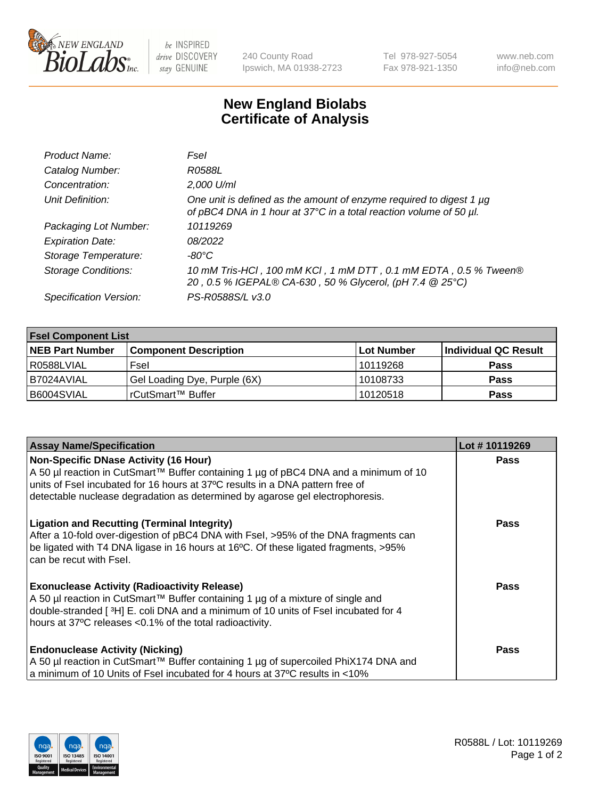

 $be$  INSPIRED drive DISCOVERY stay GENUINE

240 County Road Ipswich, MA 01938-2723 Tel 978-927-5054 Fax 978-921-1350 www.neb.com info@neb.com

## **New England Biolabs Certificate of Analysis**

| Product Name:              | Fsel                                                                                                                                      |
|----------------------------|-------------------------------------------------------------------------------------------------------------------------------------------|
| Catalog Number:            | R0588L                                                                                                                                    |
| Concentration:             | 2,000 U/ml                                                                                                                                |
| Unit Definition:           | One unit is defined as the amount of enzyme required to digest 1 µg<br>of pBC4 DNA in 1 hour at 37°C in a total reaction volume of 50 µl. |
| Packaging Lot Number:      | 10119269                                                                                                                                  |
| <b>Expiration Date:</b>    | 08/2022                                                                                                                                   |
| Storage Temperature:       | -80°C                                                                                                                                     |
| <b>Storage Conditions:</b> | 10 mM Tris-HCl, 100 mM KCl, 1 mM DTT, 0.1 mM EDTA, 0.5 % Tween®<br>20, 0.5 % IGEPAL® CA-630, 50 % Glycerol, (pH 7.4 @ 25°C)               |
| Specification Version:     | PS-R0588S/L v3.0                                                                                                                          |

| <b>Fsel Component List</b> |                              |            |                      |  |  |
|----------------------------|------------------------------|------------|----------------------|--|--|
| <b>NEB Part Number</b>     | <b>Component Description</b> | Lot Number | Individual QC Result |  |  |
| R0588LVIAL                 | Fsel                         | 10119268   | <b>Pass</b>          |  |  |
| I B7024AVIAL               | Gel Loading Dye, Purple (6X) | 10108733   | <b>Pass</b>          |  |  |
| B6004SVIAL                 | l rCutSmart™ Buffer          | 10120518   | <b>Pass</b>          |  |  |

| <b>Assay Name/Specification</b>                                                                                                                                | Lot #10119269 |
|----------------------------------------------------------------------------------------------------------------------------------------------------------------|---------------|
| <b>Non-Specific DNase Activity (16 Hour)</b>                                                                                                                   | <b>Pass</b>   |
| A 50 µl reaction in CutSmart™ Buffer containing 1 µg of pBC4 DNA and a minimum of 10                                                                           |               |
| units of Fsel incubated for 16 hours at 37°C results in a DNA pattern free of<br>detectable nuclease degradation as determined by agarose gel electrophoresis. |               |
|                                                                                                                                                                |               |
| <b>Ligation and Recutting (Terminal Integrity)</b>                                                                                                             | <b>Pass</b>   |
| After a 10-fold over-digestion of pBC4 DNA with Fsel, >95% of the DNA fragments can                                                                            |               |
| be ligated with T4 DNA ligase in 16 hours at 16°C. Of these ligated fragments, >95%<br>can be recut with Fsel.                                                 |               |
|                                                                                                                                                                |               |
| <b>Exonuclease Activity (Radioactivity Release)</b>                                                                                                            | <b>Pass</b>   |
| A 50 µl reaction in CutSmart™ Buffer containing 1 µg of a mixture of single and                                                                                |               |
| double-stranded [3H] E. coli DNA and a minimum of 10 units of Fsel incubated for 4                                                                             |               |
| hours at 37°C releases <0.1% of the total radioactivity.                                                                                                       |               |
| <b>Endonuclease Activity (Nicking)</b>                                                                                                                         | <b>Pass</b>   |
| A 50 µl reaction in CutSmart™ Buffer containing 1 µg of supercoiled PhiX174 DNA and                                                                            |               |
| a minimum of 10 Units of Fsel incubated for 4 hours at 37°C results in <10%                                                                                    |               |